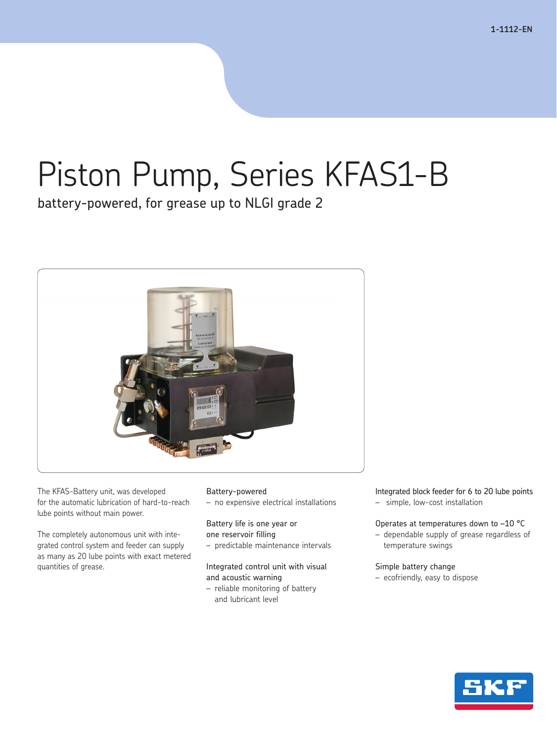# Piston Pump, Series KFAS1-B

battery-powered, for grease up to NLGI grade 2



The KFAS-Battery unit, was developed for the automatic lubrication of hard-to-reach lube points without main power.

The completely autonomous unit with integrated control system and feeder can supply as many as 20 lube points with exact metered quantities of grease.

## Battery-powered

– no expensive electrical installations

Battery life is one year or one reservoir filling

– predictable maintenance intervals

Integrated control unit with visual and acoustic warning

– reliable monitoring of battery and lubricant level

Integrated block feeder for 6 to 20 lube points

– simple, low-cost installation

### Operates at temperatures down to –10 °C

– dependable supply of grease regardless of temperature swings

#### Simple battery change

– ecofriendly, easy to dispose